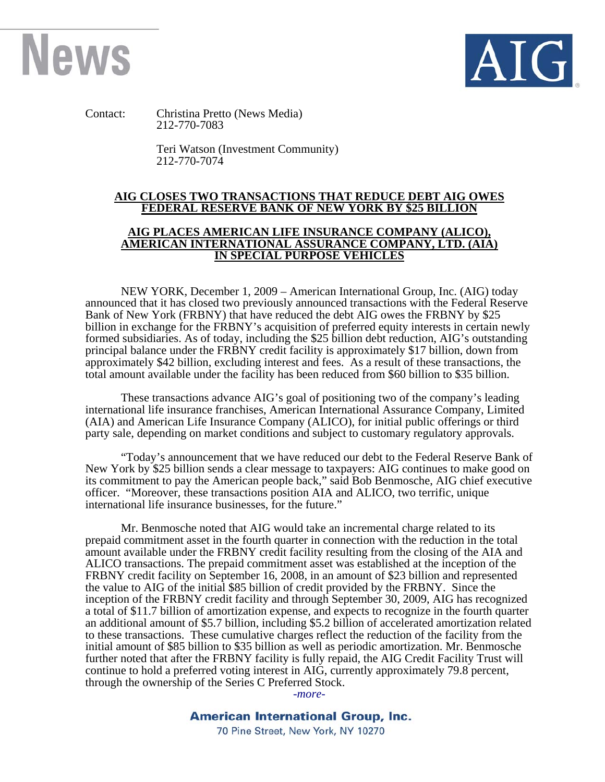



Contact: Christina Pretto (News Media) 212-770-7083

> Teri Watson (Investment Community) 212-770-7074

## **AIG CLOSES TWO TRANSACTIONS THAT REDUCE DEBT AIG OWES FEDERAL RESERVE BANK OF NEW YORK BY \$25 BILLION**

## **AIG PLACES AMERICAN LIFE INSURANCE COMPANY (ALICO), AMERICAN INTERNATIONAL ASSURANCE COMPANY, LTD. (AIA) IN SPECIAL PURPOSE VEHICLES**

NEW YORK, December 1, 2009 – American International Group, Inc. (AIG) today announced that it has closed two previously announced transactions with the Federal Reserve Bank of New York (FRBNY) that have reduced the debt AIG owes the FRBNY by \$25 billion in exchange for the FRBNY's acquisition of preferred equity interests in certain newly formed subsidiaries. As of today, including the \$25 billion debt reduction, AIG's outstanding principal balance under the FRBNY credit facility is approximately \$17 billion, down from approximately \$42 billion, excluding interest and fees.As a result of these transactions, the total amount available under the facility has been reduced from \$60 billion to \$35 billion.

These transactions advance AIG's goal of positioning two of the company's leading international life insurance franchises, American International Assurance Company, Limited (AIA) and American Life Insurance Company (ALICO), for initial public offerings or third party sale, depending on market conditions and subject to customary regulatory approvals.

"Today's announcement that we have reduced our debt to the Federal Reserve Bank of New York by \$25 billion sends a clear message to taxpayers: AIG continues to make good on its commitment to pay the American people back," said Bob Benmosche, AIG chief executive officer. "Moreover, these transactions position AIA and ALICO, two terrific, unique international life insurance businesses, for the future."

Mr. Benmosche noted that AIG would take an incremental charge related to its prepaid commitment asset in the fourth quarter in connection with the reduction in the total amount available under the FRBNY credit facility resulting from the closing of the AIA and ALICO transactions. The prepaid commitment asset was established at the inception of the FRBNY credit facility on September 16, 2008, in an amount of \$23 billion and represented the value to AIG of the initial \$85 billion of credit provided by the FRBNY. Since the inception of the FRBNY credit facility and through September 30, 2009, AIG has recognized a total of \$11.7 billion of amortization expense, and expects to recognize in the fourth quarter an additional amount of \$5.7 billion, including \$5.2 billion of accelerated amortization related to these transactions. These cumulative charges reflect the reduction of the facility from the initial amount of \$85 billion to \$35 billion as well as periodic amortization. Mr. Benmosche further noted that after the FRBNY facility is fully repaid, the AIG Credit Facility Trust will continue to hold a preferred voting interest in AIG, currently approximately 79.8 percent, through the ownership of the Series C Preferred Stock.

*-more-* 

70 Pine Street, New York, NY 10270